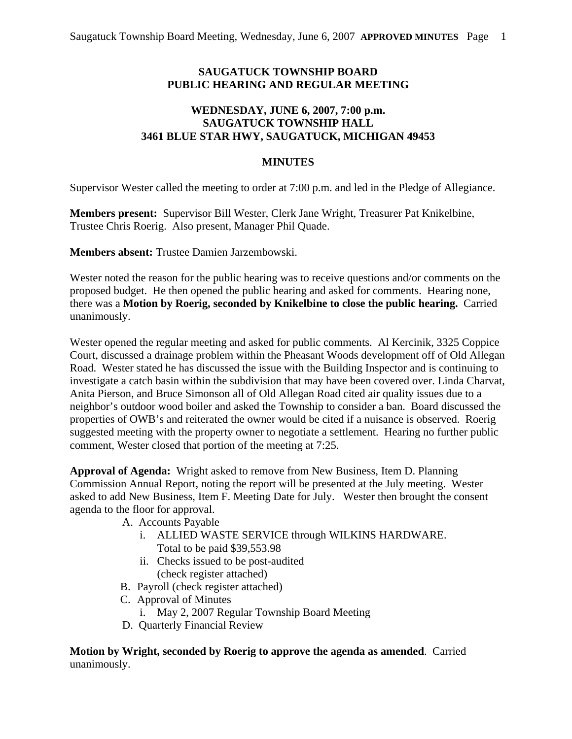## **SAUGATUCK TOWNSHIP BOARD PUBLIC HEARING AND REGULAR MEETING**

## **WEDNESDAY, JUNE 6, 2007, 7:00 p.m. SAUGATUCK TOWNSHIP HALL 3461 BLUE STAR HWY, SAUGATUCK, MICHIGAN 49453**

## **MINUTES**

Supervisor Wester called the meeting to order at 7:00 p.m. and led in the Pledge of Allegiance.

**Members present:** Supervisor Bill Wester, Clerk Jane Wright, Treasurer Pat Knikelbine, Trustee Chris Roerig. Also present, Manager Phil Quade.

**Members absent:** Trustee Damien Jarzembowski.

Wester noted the reason for the public hearing was to receive questions and/or comments on the proposed budget. He then opened the public hearing and asked for comments. Hearing none, there was a **Motion by Roerig, seconded by Knikelbine to close the public hearing.** Carried unanimously.

Wester opened the regular meeting and asked for public comments. Al Kercinik, 3325 Coppice Court, discussed a drainage problem within the Pheasant Woods development off of Old Allegan Road. Wester stated he has discussed the issue with the Building Inspector and is continuing to investigate a catch basin within the subdivision that may have been covered over. Linda Charvat, Anita Pierson, and Bruce Simonson all of Old Allegan Road cited air quality issues due to a neighbor's outdoor wood boiler and asked the Township to consider a ban. Board discussed the properties of OWB's and reiterated the owner would be cited if a nuisance is observed. Roerig suggested meeting with the property owner to negotiate a settlement. Hearing no further public comment, Wester closed that portion of the meeting at 7:25.

**Approval of Agenda:** Wright asked to remove from New Business, Item D. Planning Commission Annual Report, noting the report will be presented at the July meeting. Wester asked to add New Business, Item F. Meeting Date for July. Wester then brought the consent agenda to the floor for approval.

- A. Accounts Payable
	- i. ALLIED WASTE SERVICE through WILKINS HARDWARE. Total to be paid \$39,553.98
	- ii. Checks issued to be post-audited (check register attached)
- B. Payroll (check register attached)
- C. Approval of Minutes
	- i. May 2, 2007 Regular Township Board Meeting
- D. Quarterly Financial Review

**Motion by Wright, seconded by Roerig to approve the agenda as amended**. Carried unanimously.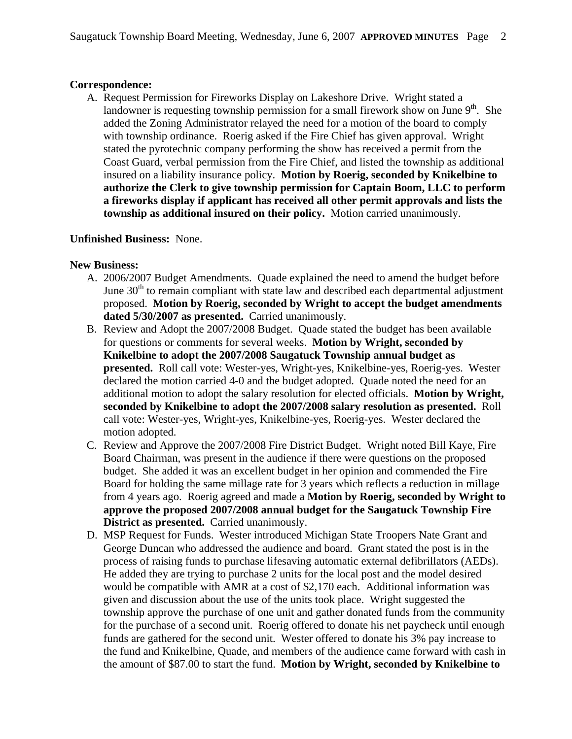## **Correspondence:**

A. Request Permission for Fireworks Display on Lakeshore Drive. Wright stated a landowner is requesting township permission for a small firework show on June  $9<sup>th</sup>$ . She added the Zoning Administrator relayed the need for a motion of the board to comply with township ordinance. Roerig asked if the Fire Chief has given approval. Wright stated the pyrotechnic company performing the show has received a permit from the Coast Guard, verbal permission from the Fire Chief, and listed the township as additional insured on a liability insurance policy. **Motion by Roerig, seconded by Knikelbine to authorize the Clerk to give township permission for Captain Boom, LLC to perform a fireworks display if applicant has received all other permit approvals and lists the township as additional insured on their policy.** Motion carried unanimously.

#### **Unfinished Business:** None.

#### **New Business:**

- A. 2006/2007 Budget Amendments. Quade explained the need to amend the budget before June  $30<sup>th</sup>$  to remain compliant with state law and described each departmental adjustment proposed. **Motion by Roerig, seconded by Wright to accept the budget amendments dated 5/30/2007 as presented.** Carried unanimously.
- B. Review and Adopt the 2007/2008 Budget. Quade stated the budget has been available for questions or comments for several weeks. **Motion by Wright, seconded by Knikelbine to adopt the 2007/2008 Saugatuck Township annual budget as presented.** Roll call vote: Wester-yes, Wright-yes, Knikelbine-yes, Roerig-yes. Wester declared the motion carried 4-0 and the budget adopted. Quade noted the need for an additional motion to adopt the salary resolution for elected officials. **Motion by Wright, seconded by Knikelbine to adopt the 2007/2008 salary resolution as presented.** Roll call vote: Wester-yes, Wright-yes, Knikelbine-yes, Roerig-yes. Wester declared the motion adopted.
- C. Review and Approve the 2007/2008 Fire District Budget. Wright noted Bill Kaye, Fire Board Chairman, was present in the audience if there were questions on the proposed budget. She added it was an excellent budget in her opinion and commended the Fire Board for holding the same millage rate for 3 years which reflects a reduction in millage from 4 years ago. Roerig agreed and made a **Motion by Roerig, seconded by Wright to approve the proposed 2007/2008 annual budget for the Saugatuck Township Fire District as presented.** Carried unanimously.
- D. MSP Request for Funds. Wester introduced Michigan State Troopers Nate Grant and George Duncan who addressed the audience and board. Grant stated the post is in the process of raising funds to purchase lifesaving automatic external defibrillators (AEDs). He added they are trying to purchase 2 units for the local post and the model desired would be compatible with AMR at a cost of \$2,170 each. Additional information was given and discussion about the use of the units took place. Wright suggested the township approve the purchase of one unit and gather donated funds from the community for the purchase of a second unit. Roerig offered to donate his net paycheck until enough funds are gathered for the second unit. Wester offered to donate his 3% pay increase to the fund and Knikelbine, Quade, and members of the audience came forward with cash in the amount of \$87.00 to start the fund. **Motion by Wright, seconded by Knikelbine to**